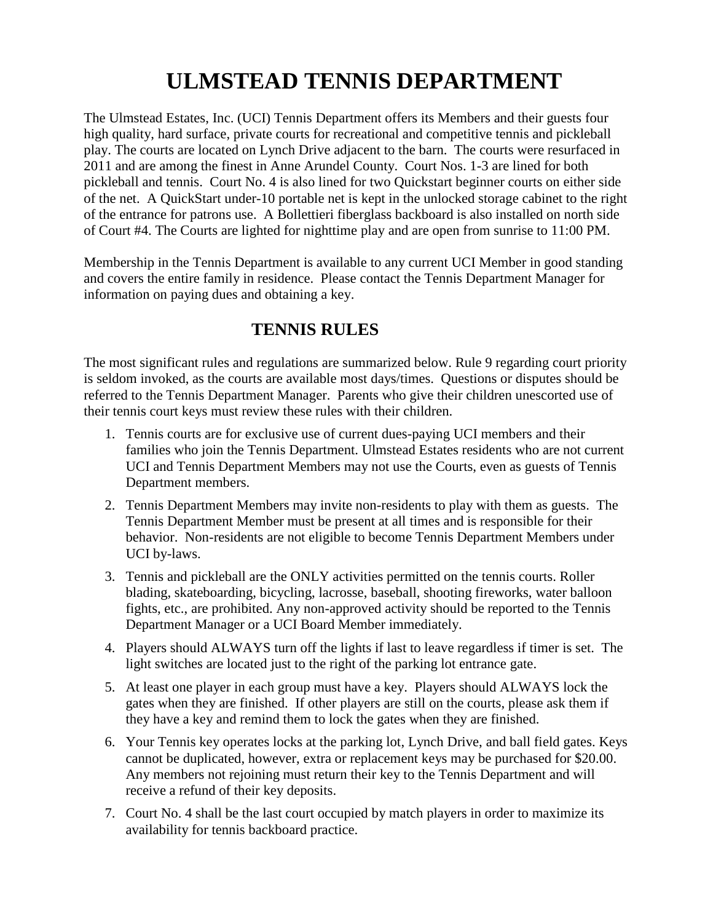# **ULMSTEAD TENNIS DEPARTMENT**

The Ulmstead Estates, Inc. (UCI) Tennis Department offers its Members and their guests four high quality, hard surface, private courts for recreational and competitive tennis and pickleball play. The courts are located on Lynch Drive adjacent to the barn. The courts were resurfaced in 2011 and are among the finest in Anne Arundel County. Court Nos. 1-3 are lined for both pickleball and tennis. Court No. 4 is also lined for two Quickstart beginner courts on either side of the net. A QuickStart under-10 portable net is kept in the unlocked storage cabinet to the right of the entrance for patrons use. A Bollettieri fiberglass backboard is also installed on north side of Court #4. The Courts are lighted for nighttime play and are open from sunrise to 11:00 PM.

Membership in the Tennis Department is available to any current UCI Member in good standing and covers the entire family in residence. Please contact the Tennis Department Manager for information on paying dues and obtaining a key.

### **TENNIS RULES**

The most significant rules and regulations are summarized below. Rule 9 regarding court priority is seldom invoked, as the courts are available most days/times. Questions or disputes should be referred to the Tennis Department Manager. Parents who give their children unescorted use of their tennis court keys must review these rules with their children.

- 1. Tennis courts are for exclusive use of current dues-paying UCI members and their families who join the Tennis Department. Ulmstead Estates residents who are not current UCI and Tennis Department Members may not use the Courts, even as guests of Tennis Department members.
- 2. Tennis Department Members may invite non-residents to play with them as guests. The Tennis Department Member must be present at all times and is responsible for their behavior. Non-residents are not eligible to become Tennis Department Members under UCI by-laws.
- 3. Tennis and pickleball are the ONLY activities permitted on the tennis courts. Roller blading, skateboarding, bicycling, lacrosse, baseball, shooting fireworks, water balloon fights, etc., are prohibited. Any non-approved activity should be reported to the Tennis Department Manager or a UCI Board Member immediately.
- 4. Players should ALWAYS turn off the lights if last to leave regardless if timer is set. The light switches are located just to the right of the parking lot entrance gate.
- 5. At least one player in each group must have a key. Players should ALWAYS lock the gates when they are finished. If other players are still on the courts, please ask them if they have a key and remind them to lock the gates when they are finished.
- 6. Your Tennis key operates locks at the parking lot, Lynch Drive, and ball field gates. Keys cannot be duplicated, however, extra or replacement keys may be purchased for \$20.00. Any members not rejoining must return their key to the Tennis Department and will receive a refund of their key deposits.
- 7. Court No. 4 shall be the last court occupied by match players in order to maximize its availability for tennis backboard practice.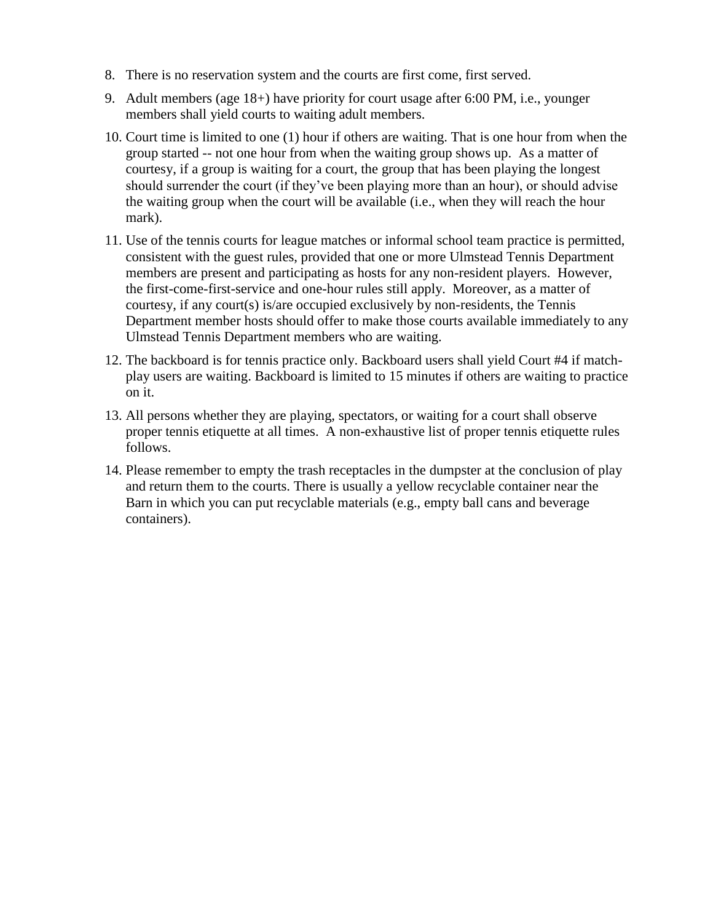- 8. There is no reservation system and the courts are first come, first served.
- 9. Adult members (age 18+) have priority for court usage after 6:00 PM, i.e., younger members shall yield courts to waiting adult members.
- 10. Court time is limited to one (1) hour if others are waiting. That is one hour from when the group started -- not one hour from when the waiting group shows up. As a matter of courtesy, if a group is waiting for a court, the group that has been playing the longest should surrender the court (if they've been playing more than an hour), or should advise the waiting group when the court will be available (i.e., when they will reach the hour mark).
- 11. Use of the tennis courts for league matches or informal school team practice is permitted, consistent with the guest rules, provided that one or more Ulmstead Tennis Department members are present and participating as hosts for any non-resident players. However, the first-come-first-service and one-hour rules still apply. Moreover, as a matter of courtesy, if any court(s) is/are occupied exclusively by non-residents, the Tennis Department member hosts should offer to make those courts available immediately to any Ulmstead Tennis Department members who are waiting.
- 12. The backboard is for tennis practice only. Backboard users shall yield Court #4 if matchplay users are waiting. Backboard is limited to 15 minutes if others are waiting to practice on it.
- 13. All persons whether they are playing, spectators, or waiting for a court shall observe proper tennis etiquette at all times. A non-exhaustive list of proper tennis etiquette rules follows.
- 14. Please remember to empty the trash receptacles in the dumpster at the conclusion of play and return them to the courts. There is usually a yellow recyclable container near the Barn in which you can put recyclable materials (e.g., empty ball cans and beverage containers).